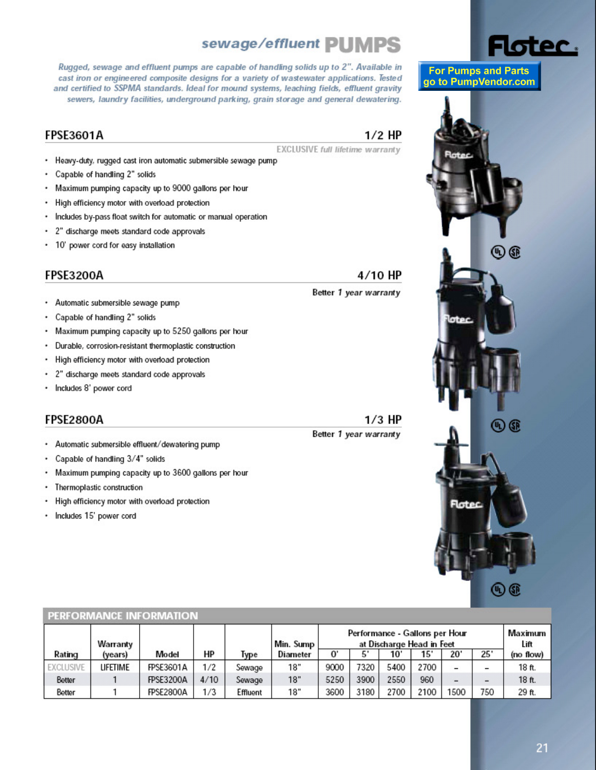# sewage/effluent PUMPS

Rugged, sewage and effluent pumps are capable of handling solids up to 2". Available in cast iron or engineered composite designs for a variety of wastewater applications. Tested and certified to SSPMA standards. Ideal for mound systems, leaching fields, effluent gravity sewers, laundry facilities, underground parking, grain storage and general dewatering.

#### **FPSE3601A**

# $1/2$  HP

4/10 HP

Better 1 year warranty

**EXCLUSIVE full lifetime warranty** 

- · Heavy-duty, rugged cast iron automatic submersible sewage pump
- ٠ Capable of handling 2" solids
- Maximum pumping capacity up to 9000 gallons per hour ٠
- High efficiency motor with overload protection .
- Includes by-pass float switch for automatic or manual operation .
- 2" discharge meets standard code approvals ٠
- 10' power cord for easy installation

### **FPSE3200A**

- Automatic submersible sewage pump ٠
- ٠ Capable of handling 2" solids
- Maximum pumping capacity up to 5250 gallons per hour ٠
- $\bullet$ Durable, corrosion-resistant thermoplastic construction
- ۰ High efficiency motor with overload protection
- . 2" discharge meets standard code approvals
- Includes 8' power cord ٠

### **FPSE2800A**

- Automatic submersible effluent/dewatering pump
- . Capable of handling 3/4" solids
- Maximum pumping capacity up to 3600 gallons per hour .
- $\ddot{\phantom{0}}$ Thermoplastic construction
- High efficiency motor with overload protection ٠
- Includes 15' power cord

#### PERFORMANCE INFORMATION **Maximum** Performance - Gallons per Hour Warranty Min. Sump at Discharge Head in Feet Lift HP  $\overline{0}$  $25'$ Rating Model **Type Diameter**  $10'$  $20'$ (no flow) (years) 5'  $15'$ **EXCLUSIVE LIFETIME**  $18"$ **FPSE3601A**  $1/2$ Sewage 9000 7320 5400 2700 18 ft.  $18"$ 5250 3900 2550 960 Better  $\mathbf{1}$ **FPSE3200A**  $4/10$ 18 ft. Sewage  $\overline{a}$  $\overline{a}$ 2100 1500 1 **FPSE2800A**  $1/3$ Effluent  $18"$ 3600 3180 2700 750 29 ft. Better

# $1/3$  HP

Better 1 year warranty



Flotec.

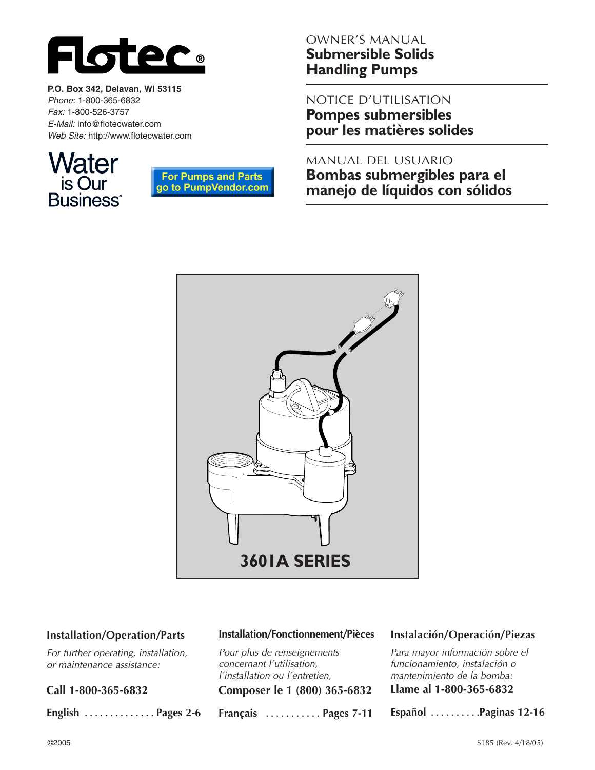

**P.O. Box 342, Delavan, WI 53115** *Phone:* 1-800-365-6832 *Fax:* 1-800-526-3757 *E-Mail:* info@flotecwater.com *Web Site:* http://www.flotecwater.com





# OWNER'S MANUAL **Submersible Solids Handling Pumps**

NOTICE D'UTILISATION **Pompes submersibles pour les matières solides**

MANUAL DEL USUARIO **Bombas submergibles para el manejo de líquidos con sólidos**



#### **Installation/Operation/Parts**

*For further operating, installation, or maintenance assistance:* 

**Call 1-800-365-6832**

**English . . . . . . . . . . . . . . Pages 2-6**

#### **Installation/Fonctionnement/Pièces**

*Pour plus de renseignements concernant l'utilisation, l'installation ou l'entretien,*

**Composer le 1 (800) 365-6832**

**Français . . . . . . . . . . . Pages 7-11**

#### **Instalación/Operación/Piezas**

*Para mayor información sobre el funcionamiento, instalación o mantenimiento de la bomba:*

**Llame al 1-800-365-6832**

**Español . . . . . . . . . .Paginas 12-16**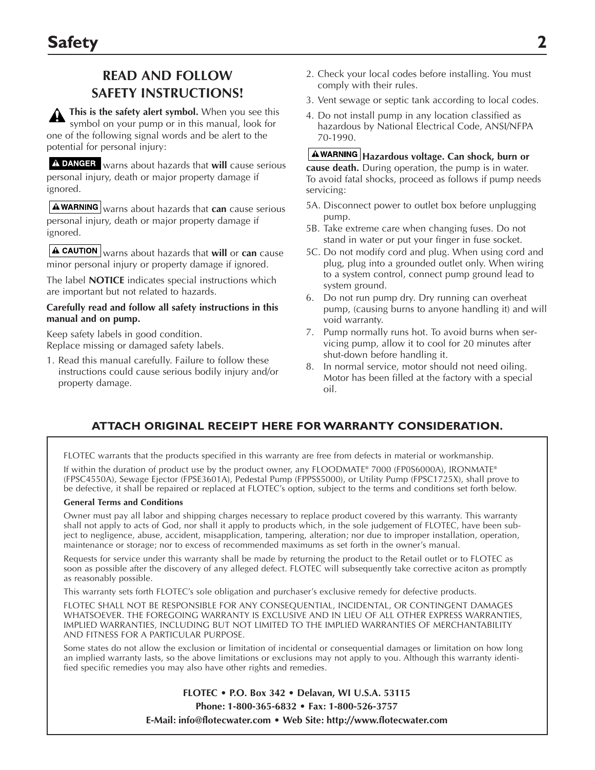# **READ AND FOLLOW SAFETY INSTRUCTIONS!**

**This is the safety alert symbol.** When you see this symbol on your pump or in this manual, look for one of the following signal words and be alert to the potential for personal injury:

warns about hazards that **will** cause serious personal injury, death or major property damage if ignored.

**A warning** warns about hazards that **can** cause serious personal injury, death or major property damage if ignored.

warns about hazards that **will** or **can** cause minor personal injury or property damage if ignored.

The label **NOTICE** indicates special instructions which are important but not related to hazards.

#### **Carefully read and follow all safety instructions in this manual and on pump.**

Keep safety labels in good condition. Replace missing or damaged safety labels.

1. Read this manual carefully. Failure to follow these instructions could cause serious bodily injury and/or property damage.

- 2. Check your local codes before installing. You must comply with their rules.
- 3. Vent sewage or septic tank according to local codes.
- 4. Do not install pump in any location classified as hazardous by National Electrical Code, ANSI/NFPA 70-1990.

**Hazardous voltage. Can shock, burn or cause death.** During operation, the pump is in water. To avoid fatal shocks, proceed as follows if pump needs servicing:

- 5A. Disconnect power to outlet box before unplugging pump.
- 5B. Take extreme care when changing fuses. Do not stand in water or put your finger in fuse socket.
- 5C. Do not modify cord and plug. When using cord and plug, plug into a grounded outlet only. When wiring to a system control, connect pump ground lead to system ground.
- 6. Do not run pump dry. Dry running can overheat pump, (causing burns to anyone handling it) and will void warranty.
- 7. Pump normally runs hot. To avoid burns when servicing pump, allow it to cool for 20 minutes after shut-down before handling it.
- 8. In normal service, motor should not need oiling. Motor has been filled at the factory with a special oil.

### **ATTACH ORIGINAL RECEIPT HERE FOR WARRANTY CONSIDERATION.**

FLOTEC warrants that the products specified in this warranty are free from defects in material or workmanship.

If within the duration of product use by the product owner, any FLOODMATE® 7000 (FP0S6000A), IRONMATE® (FPSC4550A), Sewage Ejector (FPSE3601A), Pedestal Pump (FPPSS5000), or Utility Pump (FPSC1725X), shall prove to be defective, it shall be repaired or replaced at FLOTEC's option, subject to the terms and conditions set forth below.

#### **General Terms and Conditions**

Owner must pay all labor and shipping charges necessary to replace product covered by this warranty. This warranty shall not apply to acts of God, nor shall it apply to products which, in the sole judgement of FLOTEC, have been subject to negligence, abuse, accident, misapplication, tampering, alteration; nor due to improper installation, operation, maintenance or storage; nor to excess of recommended maximums as set forth in the owner's manual.

Requests for service under this warranty shall be made by returning the product to the Retail outlet or to FLOTEC as soon as possible after the discovery of any alleged defect. FLOTEC will subsequently take corrective aciton as promptly as reasonably possible.

This warranty sets forth FLOTEC's sole obligation and purchaser's exclusive remedy for defective products.

FLOTEC SHALL NOT BE RESPONSIBLE FOR ANY CONSEQUENTIAL, INCIDENTAL, OR CONTINGENT DAMAGES WHATSOEVER. THE FOREGOING WARRANTY IS EXCLUSIVE AND IN LIEU OF ALL OTHER EXPRESS WARRANTIES, IMPLIED WARRANTIES, INCLUDING BUT NOT LIMITED TO THE IMPLIED WARRANTIES OF MERCHANTABILITY AND FITNESS FOR A PARTICULAR PURPOSE.

Some states do not allow the exclusion or limitation of incidental or consequential damages or limitation on how long an implied warranty lasts, so the above limitations or exclusions may not apply to you. Although this warranty identified specific remedies you may also have other rights and remedies.

> **FLOTEC • P.O. Box 342 • Delavan, WI U.S.A. 53115 Phone: 1-800-365-6832 • Fax: 1-800-526-3757 E-Mail: info@flotecwater.com • Web Site: http://www.flotecwater.com**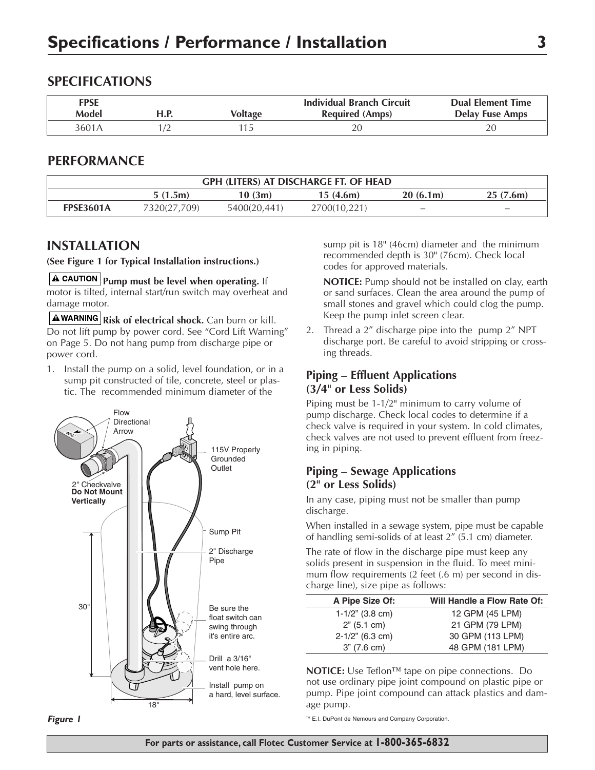### **SPECIFICATIONS**

| <b>FPSE</b><br>Model | H.P. | Voltage | <b>Individual Branch Circuit</b><br><b>Required (Amps)</b> | <b>Dual Element Time</b><br><b>Delay Fuse Amps</b> |
|----------------------|------|---------|------------------------------------------------------------|----------------------------------------------------|
| 3601A                |      |         |                                                            |                                                    |

#### **PERFORMANCE**

| <b>GPH (LITERS) AT DISCHARGE FT. OF HEAD</b> |              |              |              |                          |                          |  |  |
|----------------------------------------------|--------------|--------------|--------------|--------------------------|--------------------------|--|--|
|                                              | 5(1.5m)      | 10(3m)       | 15(4.6m)     | 20(6.1m)                 | 25(7.6m)                 |  |  |
| <b>FPSE3601A</b>                             | 7320(27,709) | 5400(20,441) | 2700(10,221) | $\overline{\phantom{a}}$ | $\overline{\phantom{a}}$ |  |  |

### **INSTALLATION**

#### **(See Figure 1 for Typical Installation instructions.)**

**A CAUTION** Pump must be level when operating. If motor is tilted, internal start/run switch may overheat and damage motor.

**AWARNING** Risk of electrical shock. Can burn or kill. Do not lift pump by power cord. See "Cord Lift Warning" on Page 5. Do not hang pump from discharge pipe or power cord.

1. Install the pump on a solid, level foundation, or in a sump pit constructed of tile, concrete, steel or plastic. The recommended minimum diameter of the





sump pit is 18" (46cm) diameter and the minimum recommended depth is 30" (76cm). Check local codes for approved materials.

**NOTICE:** Pump should not be installed on clay, earth or sand surfaces. Clean the area around the pump of small stones and gravel which could clog the pump. Keep the pump inlet screen clear.

2. Thread a 2" discharge pipe into the pump 2" NPT discharge port. Be careful to avoid stripping or crossing threads.

### **Piping – Effluent Applications (3/4" or Less Solids)**

Piping must be 1-1/2" minimum to carry volume of pump discharge. Check local codes to determine if a check valve is required in your system. In cold climates, check valves are not used to prevent effluent from freezing in piping.

#### **Piping – Sewage Applications (2" or Less Solids)**

In any case, piping must not be smaller than pump discharge.

When installed in a sewage system, pipe must be capable of handling semi-solids of at least 2" (5.1 cm) diameter.

The rate of flow in the discharge pipe must keep any solids present in suspension in the fluid. To meet minimum flow requirements (2 feet (.6 m) per second in discharge line), size pipe as follows:

| A Pipe Size Of:    | Will Handle a Flow Rate Of: |
|--------------------|-----------------------------|
| $1-1/2$ " (3.8 cm) | 12 GPM (45 LPM)             |
| 2" (5.1 cm)        | 21 GPM (79 LPM)             |
| $2-1/2$ " (6.3 cm) | 30 GPM (113 LPM)            |
| $3''$ (7.6 cm)     | 48 GPM (181 LPM)            |

**NOTICE:** Use Teflon™ tape on pipe connections. Do not use ordinary pipe joint compound on plastic pipe or pump. Pipe joint compound can attack plastics and damage pump.

™ E.I. DuPont de Nemours and Company Corporation.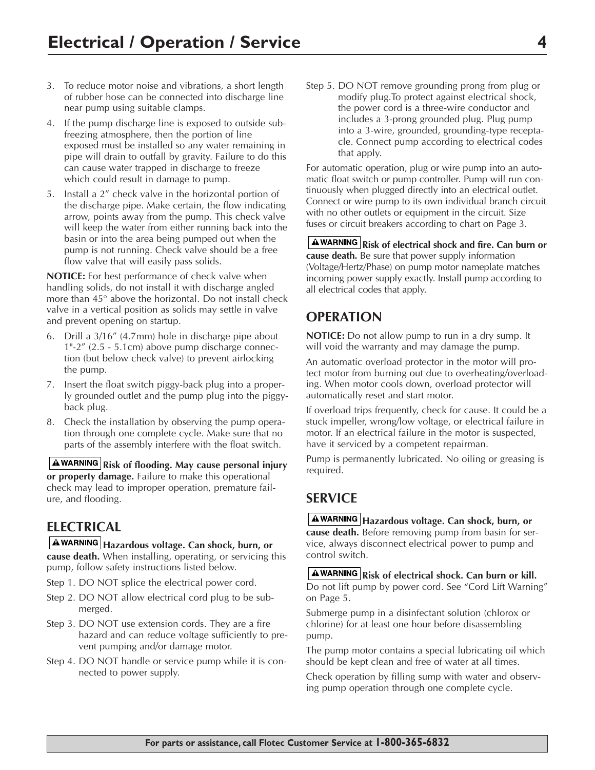- 3. To reduce motor noise and vibrations, a short length of rubber hose can be connected into discharge line near pump using suitable clamps.
- 4. If the pump discharge line is exposed to outside subfreezing atmosphere, then the portion of line exposed must be installed so any water remaining in pipe will drain to outfall by gravity. Failure to do this can cause water trapped in discharge to freeze which could result in damage to pump.
- 5. Install a 2" check valve in the horizontal portion of the discharge pipe. Make certain, the flow indicating arrow, points away from the pump. This check valve will keep the water from either running back into the basin or into the area being pumped out when the pump is not running. Check valve should be a free flow valve that will easily pass solids.

**NOTICE:** For best performance of check valve when handling solids, do not install it with discharge angled more than 45° above the horizontal. Do not install check valve in a vertical position as solids may settle in valve and prevent opening on startup.

- 6. Drill a 3/16" (4.7mm) hole in discharge pipe about 1"-2" (2.5 - 5.1cm) above pump discharge connection (but below check valve) to prevent airlocking the pump.
- 7. Insert the float switch piggy-back plug into a properly grounded outlet and the pump plug into the piggyback plug.
- 8. Check the installation by observing the pump operation through one complete cycle. Make sure that no parts of the assembly interfere with the float switch.

**Risk of flooding. May cause personal injury or property damage.** Failure to make this operational check may lead to improper operation, premature failure, and flooding.

# **ELECTRICAL**

**Hazardous voltage. Can shock, burn, or cause death.** When installing, operating, or servicing this pump, follow safety instructions listed below.

- Step 1. DO NOT splice the electrical power cord.
- Step 2. DO NOT allow electrical cord plug to be submerged.
- Step 3. DO NOT use extension cords. They are a fire hazard and can reduce voltage sufficiently to prevent pumping and/or damage motor.
- Step 4. DO NOT handle or service pump while it is connected to power supply.

Step 5. DO NOT remove grounding prong from plug or modify plug.To protect against electrical shock, the power cord is a three-wire conductor and includes a 3-prong grounded plug. Plug pump into a 3-wire, grounded, grounding-type receptacle. Connect pump according to electrical codes that apply.

For automatic operation, plug or wire pump into an automatic float switch or pump controller. Pump will run continuously when plugged directly into an electrical outlet. Connect or wire pump to its own individual branch circuit with no other outlets or equipment in the circuit. Size fuses or circuit breakers according to chart on Page 3.

**A**WARNING Risk of electrical shock and fire. Can burn or **cause death.** Be sure that power supply information (Voltage/Hertz/Phase) on pump motor nameplate matches incoming power supply exactly. Install pump according to all electrical codes that apply.

# **OPERATION**

**NOTICE:** Do not allow pump to run in a dry sump. It will void the warranty and may damage the pump.

An automatic overload protector in the motor will protect motor from burning out due to overheating/overloading. When motor cools down, overload protector will automatically reset and start motor.

If overload trips frequently, check for cause. It could be a stuck impeller, wrong/low voltage, or electrical failure in motor. If an electrical failure in the motor is suspected, have it serviced by a competent repairman.

Pump is permanently lubricated. No oiling or greasing is required.

# **SERVICE**

**Hazardous voltage. Can shock, burn, or cause death.** Before removing pump from basin for service, always disconnect electrical power to pump and control switch.

**A**WARNING Risk of electrical shock. Can burn or kill. Do not lift pump by power cord. See "Cord Lift Warning" on Page 5.

Submerge pump in a disinfectant solution (chlorox or chlorine) for at least one hour before disassembling pump.

The pump motor contains a special lubricating oil which should be kept clean and free of water at all times.

Check operation by filling sump with water and observing pump operation through one complete cycle.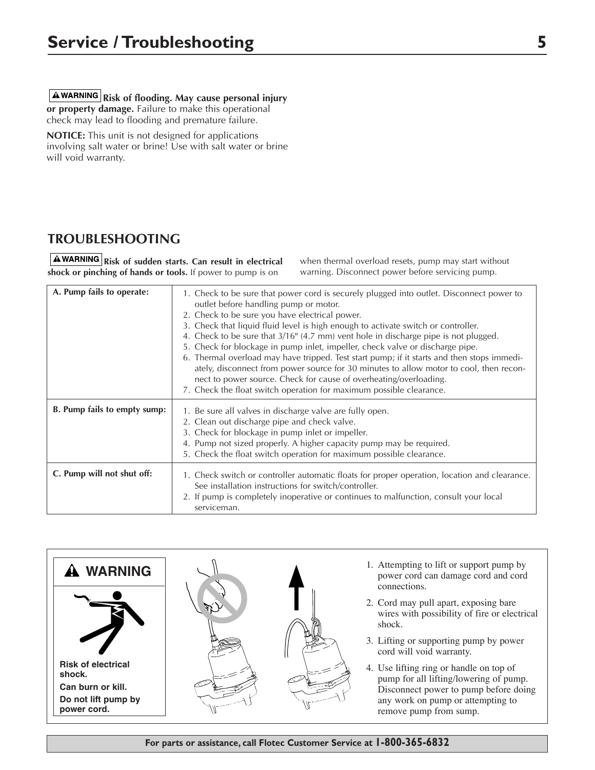**A**WARNING Risk of flooding. May cause personal injury **or property damage.** Failure to make this operational check may lead to flooding and premature failure.

**NOTICE:** This unit is not designed for applications involving salt water or brine! Use with salt water or brine will void warranty.

# **TROUBLESHOOTING**

**AWARNING** Risk of sudden starts. Can result in electrical **shock or pinching of hands or tools.** If power to pump is on

when thermal overload resets, pump may start without warning. Disconnect power before servicing pump.

| A. Pump fails to operate:    | 1. Check to be sure that power cord is securely plugged into outlet. Disconnect power to<br>outlet before handling pump or motor.<br>2. Check to be sure you have electrical power.<br>3. Check that liquid fluid level is high enough to activate switch or controller.<br>4. Check to be sure that $3/16$ <sup>"</sup> (4.7 mm) vent hole in discharge pipe is not plugged.<br>5. Check for blockage in pump inlet, impeller, check valve or discharge pipe.<br>6. Thermal overload may have tripped. Test start pump; if it starts and then stops immedi-<br>ately, disconnect from power source for 30 minutes to allow motor to cool, then recon-<br>nect to power source. Check for cause of overheating/overloading.<br>7. Check the float switch operation for maximum possible clearance. |
|------------------------------|----------------------------------------------------------------------------------------------------------------------------------------------------------------------------------------------------------------------------------------------------------------------------------------------------------------------------------------------------------------------------------------------------------------------------------------------------------------------------------------------------------------------------------------------------------------------------------------------------------------------------------------------------------------------------------------------------------------------------------------------------------------------------------------------------|
| B. Pump fails to empty sump: | 1. Be sure all valves in discharge valve are fully open.<br>2. Clean out discharge pipe and check valve.<br>3. Check for blockage in pump inlet or impeller.<br>4. Pump not sized properly. A higher capacity pump may be required.<br>5. Check the float switch operation for maximum possible clearance.                                                                                                                                                                                                                                                                                                                                                                                                                                                                                         |
| C. Pump will not shut off:   | 1. Check switch or controller automatic floats for proper operation, location and clearance.<br>See installation instructions for switch/controller.<br>2. If pump is completely inoperative or continues to malfunction, consult your local<br>serviceman.                                                                                                                                                                                                                                                                                                                                                                                                                                                                                                                                        |

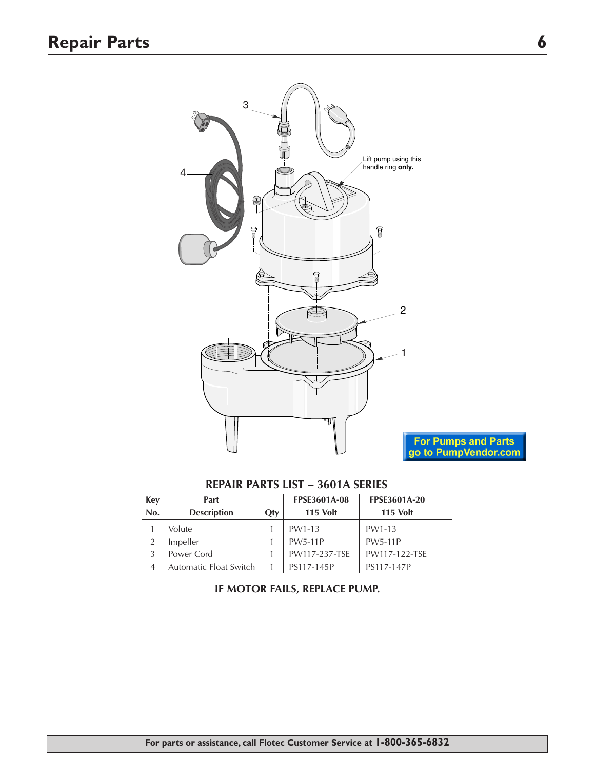

### **REPAIR PARTS LIST – 3601A SERIES**

| <b>Key</b> | Part                   |     | <b>FPSE3601A-08</b> | <b>FPSE3601A-20</b> |
|------------|------------------------|-----|---------------------|---------------------|
| No.        | <b>Description</b>     | Qty | <b>115 Volt</b>     | <b>115 Volt</b>     |
|            | Volute                 |     | PW1-13              | PW1-13              |
|            | Impeller               |     | <b>PW5-11P</b>      | <b>PW5-11P</b>      |
|            | Power Cord             |     | PW117-237-TSE       | PW117-122-TSE       |
| 4          | Automatic Float Switch |     | PS117-145P          | PS117-147P          |

#### **IF MOTOR FAILS, REPLACE PUMP.**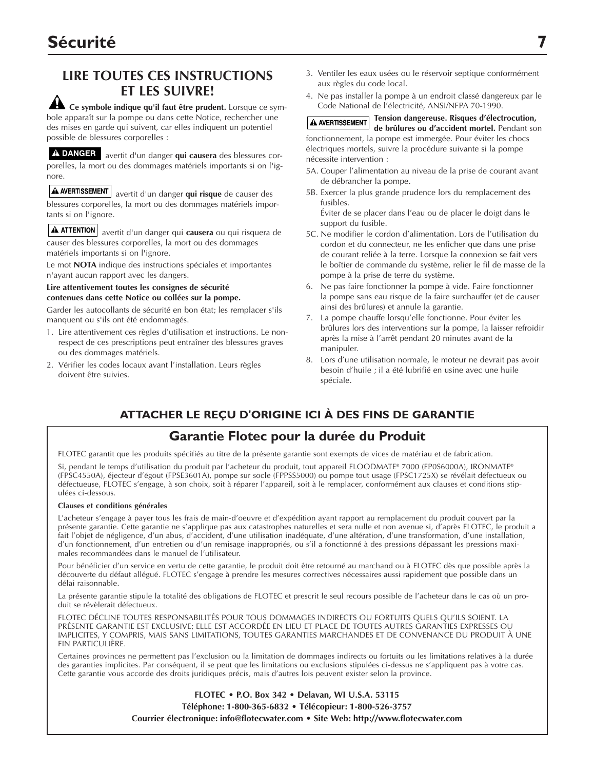# **LIRE TOUTES CES INSTRUCTIONS ET LES SUIVRE!**

**Ce symbole indique qu'il faut être prudent.** Lorsque ce symbole apparaît sur la pompe ou dans cette Notice, rechercher une des mises en garde qui suivent, car elles indiquent un potentiel possible de blessures corporelles :

A DANGER avertit d'un danger qui causera des blessures corporelles, la mort ou des dommages matériels importants si on l'ignore.

avertit d'un danger **qui risque** de causer des blessures corporelles, la mort ou des dommages matériels importants si on l'ignore.

 $\mathbf A$  attention avertit d'un danger qui **causera** ou qui risquera de causer des blessures corporelles, la mort ou des dommages matériels importants si on l'ignore.

Le mot **NOTA** indique des instructions spéciales et importantes n'ayant aucun rapport avec les dangers.

**Lire attentivement toutes les consignes de sécurité contenues dans cette Notice ou collées sur la pompe.**

Garder les autocollants de sécurité en bon état; les remplacer s'ils manquent ou s'ils ont été endommagés.

- 1. Lire attentivement ces règles d'utilisation et instructions. Le nonrespect de ces prescriptions peut entraîner des blessures graves ou des dommages matériels.
- 2. Vérifier les codes locaux avant l'installation. Leurs règles doivent être suivies.
- 3. Ventiler les eaux usées ou le réservoir septique conformément aux règles du code local.
- 4. Ne pas installer la pompe à un endroit classé dangereux par le Code National de l'électricité, ANSI/NFPA 70-1990.

**Tension dangereuse. Risques d'électrocution,**  A AVERTISSEMENT **de brûlures ou d'accident mortel.** Pendant son fonctionnement, la pompe est immergée. Pour éviter les chocs électriques mortels, suivre la procédure suivante si la pompe nécessite intervention :

- 5A. Couper l'alimentation au niveau de la prise de courant avant de débrancher la pompe.
- 5B. Exercer la plus grande prudence lors du remplacement des fusibles.

Éviter de se placer dans l'eau ou de placer le doigt dans le support du fusible.

- 5C. Ne modifier le cordon d'alimentation. Lors de l'utilisation du cordon et du connecteur, ne les enficher que dans une prise de courant reliée à la terre. Lorsque la connexion se fait vers le boîtier de commande du système, relier le fil de masse de la pompe à la prise de terre du système.
- 6. Ne pas faire fonctionner la pompe à vide. Faire fonctionner la pompe sans eau risque de la faire surchauffer (et de causer ainsi des brûlures) et annule la garantie.
- 7. La pompe chauffe lorsqu'elle fonctionne. Pour éviter les brûlures lors des interventions sur la pompe, la laisser refroidir après la mise à l'arrêt pendant 20 minutes avant de la manipuler.
- 8. Lors d'une utilisation normale, le moteur ne devrait pas avoir besoin d'huile ; il a été lubrifié en usine avec une huile spéciale.

# **ATTACHER LE REÇU D'ORIGINE ICI À DES FINS DE GARANTIE**

# **Garantie Flotec pour la durée du Produit**

FLOTEC garantit que les produits spécifiés au titre de la présente garantie sont exempts de vices de matériau et de fabrication.

Si, pendant le temps d'utilisation du produit par l'acheteur du produit, tout appareil FLOODMATE® 7000 (FP0S6000A), IRONMATE® (FPSC4550A), éjecteur d'égout (FPSE3601A), pompe sur socle (FPPSS5000) ou pompe tout usage (FPSC1725X) se révélait défectueux ou défectueuse, FLOTEC s'engage, à son choix, soit à réparer l'appareil, soit à le remplacer, conformément aux clauses et conditions stipulées ci-dessous.

#### **Clauses et conditions générales**

L'acheteur s'engage à payer tous les frais de main-d'oeuvre et d'expédition ayant rapport au remplacement du produit couvert par la présente garantie. Cette garantie ne s'applique pas aux catastrophes naturelles et sera nulle et non avenue si, d'après FLOTEC, le produit a fait l'objet de négligence, d'un abus, d'accident, d'une utilisation inadéquate, d'une altération, d'une transformation, d'une installation, d'un fonctionnement, d'un entretien ou d'un remisage inappropriés, ou s'il a fonctionné à des pressions dépassant les pressions maximales recommandées dans le manuel de l'utilisateur.

Pour bénéficier d'un service en vertu de cette garantie, le produit doit être retourné au marchand ou à FLOTEC dès que possible après la découverte du défaut allégué. FLOTEC s'engage à prendre les mesures correctives nécessaires aussi rapidement que possible dans un délai raisonnable.

La présente garantie stipule la totalité des obligations de FLOTEC et prescrit le seul recours possible de l'acheteur dans le cas où un produit se révèlerait défectueux.

FLOTEC DÉCLINE TOUTES RESPONSABILITÉS POUR TOUS DOMMAGES INDIRECTS OU FORTUITS QUELS QU'ILS SOIENT. LA PRÉSENTE GARANTIE EST EXCLUSIVE; ELLE EST ACCORDÉE EN LIEU ET PLACE DE TOUTES AUTRES GARANTIES EXPRESSES OU IMPLICITES, Y COMPRIS, MAIS SANS LIMITATIONS, TOUTES GARANTIES MARCHANDES ET DE CONVENANCE DU PRODUIT À UNE FIN PARTICULIÈRE.

Certaines provinces ne permettent pas l'exclusion ou la limitation de dommages indirects ou fortuits ou les limitations relatives à la durée des garanties implicites. Par conséquent, il se peut que les limitations ou exclusions stipulées ci-dessus ne s'appliquent pas à votre cas. Cette garantie vous accorde des droits juridiques précis, mais d'autres lois peuvent exister selon la province.

> **FLOTEC • P.O. Box 342 • Delavan, WI U.S.A. 53115 Téléphone: 1-800-365-6832 • Télécopieur: 1-800-526-3757 Courrier électronique: info@flotecwater.com • Site Web: http://www.flotecwater.com**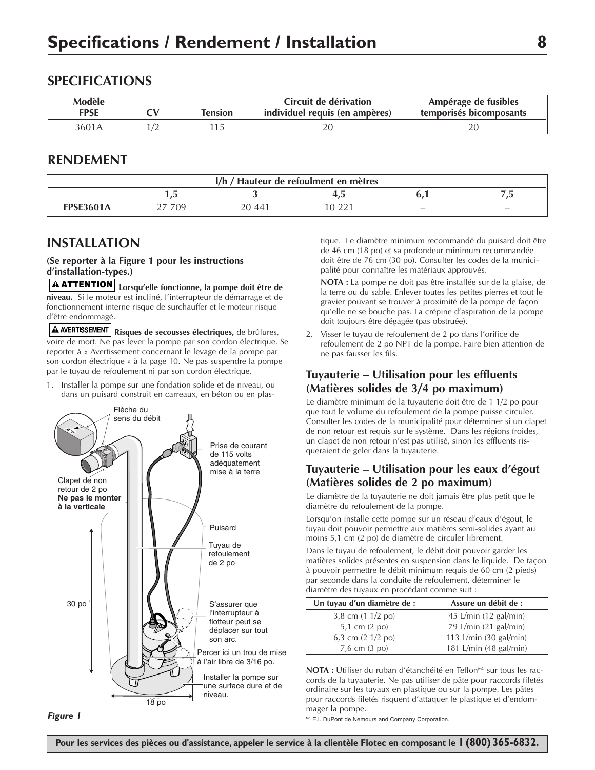#### **SPECIFICATIONS**

| Modèle<br><b>FPSE</b> | Tension | Circuit de dérivation<br>individuel requis (en ampères) | Ampérage de fusibles<br>temporisés bicomposants |
|-----------------------|---------|---------------------------------------------------------|-------------------------------------------------|
| 3601A                 |         |                                                         |                                                 |

#### **RENDEMENT**

| I/h / Hauteur de refoulment en mètres |     |        |      |     |                          |  |
|---------------------------------------|-----|--------|------|-----|--------------------------|--|
|                                       | س   |        | ن. 1 |     | $\overline{a}$           |  |
| <b>FPSE3601A</b>                      | 709 | 20 441 |      | $-$ | $\overline{\phantom{a}}$ |  |

### **INSTALLATION**

#### **(Se reporter à la Figure 1 pour les instructions d'installation-types.)**

**Lorsqu'elle fonctionne, la pompe doit être de ATTENTION niveau.** Si le moteur est incliné, l'interrupteur de démarrage et de fonctionnement interne risque de surchauffer et le moteur risque d'être endommagé.

**Risques de secousses électriques,** de brûlures, voire de mort. Ne pas lever la pompe par son cordon électrique. Se reporter à « Avertissement concernant le levage de la pompe par son cordon électrique » à la page 10. Ne pas suspendre la pompe par le tuyau de refoulement ni par son cordon électrique.

1. Installer la pompe sur une fondation solide et de niveau, ou dans un puisard construit en carreaux, en béton ou en plas-



tique. Le diamètre minimum recommandé du puisard doit être de 46 cm (18 po) et sa profondeur minimum recommandée doit être de 76 cm (30 po). Consulter les codes de la municipalité pour connaître les matériaux approuvés.

**NOTA :** La pompe ne doit pas être installée sur de la glaise, de la terre ou du sable. Enlever toutes les petites pierres et tout le gravier pouvant se trouver à proximité de la pompe de façon qu'elle ne se bouche pas. La crépine d'aspiration de la pompe doit toujours être dégagée (pas obstruée).

2. Visser le tuyau de refoulement de 2 po dans l'orifice de refoulement de 2 po NPT de la pompe. Faire bien attention de ne pas fausser les fils.

#### **Tuyauterie – Utilisation pour les effluents (Matières solides de 3/4 po maximum)**

Le diamètre minimum de la tuyauterie doit être de 1 1/2 po pour que tout le volume du refoulement de la pompe puisse circuler. Consulter les codes de la municipalité pour déterminer si un clapet de non retour est requis sur le système. Dans les régions froides, un clapet de non retour n'est pas utilisé, sinon les effluents risqueraient de geler dans la tuyauterie.

#### **Tuyauterie – Utilisation pour les eaux d'égout (Matières solides de 2 po maximum)**

Le diamètre de la tuyauterie ne doit jamais être plus petit que le diamètre du refoulement de la pompe.

Lorsqu'on installe cette pompe sur un réseau d'eaux d'égout, le tuyau doit pouvoir permettre aux matières semi-solides ayant au moins 5,1 cm (2 po) de diamètre de circuler librement.

Dans le tuyau de refoulement, le débit doit pouvoir garder les matières solides présentes en suspension dans le liquide. De façon à pouvoir permettre le débit minimum requis de 60 cm (2 pieds) par seconde dans la conduite de refoulement, déterminer le diamètre des tuyaux en procédant comme suit :

| Assure un débit de :            |
|---------------------------------|
| 45 L/min $(12 \text{ gal/min})$ |
| 79 L/min (21 gal/min)           |
| 113 L/min (30 gal/min)          |
| 181 L/min (48 gal/min)          |
|                                 |

**NOTA :** Utiliser du ruban d'étanchéité en Teflon<sup>MC</sup> sur tous les raccords de la tuyauterie. Ne pas utiliser de pâte pour raccords filetés ordinaire sur les tuyaux en plastique ou sur la pompe. Les pâtes pour raccords filetés risquent d'attaquer le plastique et d'endommager la pompe.

MC E.I. DuPont de Nemours and Company Corporation.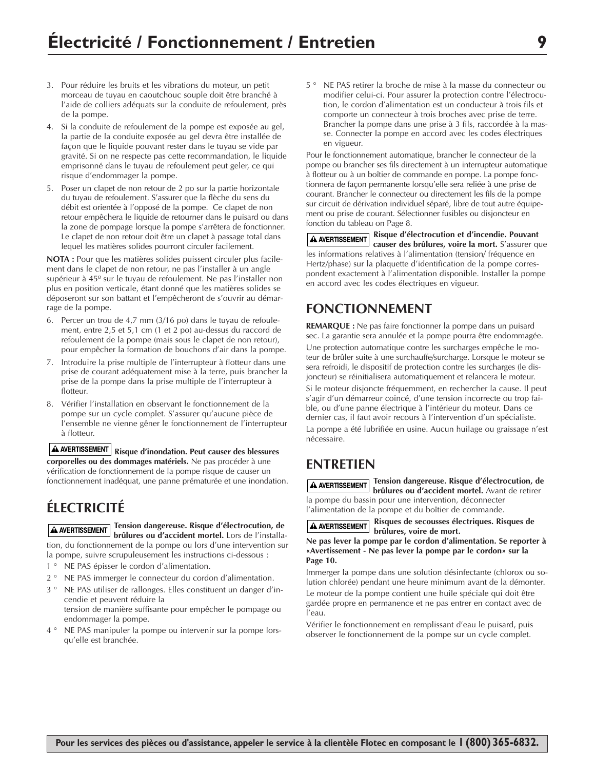- 3. Pour réduire les bruits et les vibrations du moteur, un petit morceau de tuyau en caoutchouc souple doit être branché à l'aide de colliers adéquats sur la conduite de refoulement, près de la pompe.
- 4. Si la conduite de refoulement de la pompe est exposée au gel, la partie de la conduite exposée au gel devra être installée de façon que le liquide pouvant rester dans le tuyau se vide par gravité. Si on ne respecte pas cette recommandation, le liquide emprisonné dans le tuyau de refoulement peut geler, ce qui risque d'endommager la pompe.
- 5. Poser un clapet de non retour de 2 po sur la partie horizontale du tuyau de refoulement. S'assurer que la flèche du sens du débit est orientée à l'opposé de la pompe. Ce clapet de non retour empêchera le liquide de retourner dans le puisard ou dans la zone de pompage lorsque la pompe s'arrêtera de fonctionner. Le clapet de non retour doit être un clapet à passage total dans lequel les matières solides pourront circuler facilement.

**NOTA :** Pour que les matières solides puissent circuler plus facilement dans le clapet de non retour, ne pas l'installer à un angle supérieur à 45º sur le tuyau de refoulement. Ne pas l'installer non plus en position verticale, étant donné que les matières solides se déposeront sur son battant et l'empêcheront de s'ouvrir au démarrage de la pompe.

- 6. Percer un trou de 4,7 mm (3/16 po) dans le tuyau de refoulement, entre 2,5 et 5,1 cm (1 et 2 po) au-dessus du raccord de refoulement de la pompe (mais sous le clapet de non retour), pour empêcher la formation de bouchons d'air dans la pompe.
- 7. Introduire la prise multiple de l'interrupteur à flotteur dans une prise de courant adéquatement mise à la terre, puis brancher la prise de la pompe dans la prise multiple de l'interrupteur à flotteur.
- 8. Vérifier l'installation en observant le fonctionnement de la pompe sur un cycle complet. S'assurer qu'aucune pièce de l'ensemble ne vienne gêner le fonctionnement de l'interrupteur à flotteur.

A AVERTISSEMENT Risque d'inondation. Peut causer des blessures **corporelles ou des dommages matériels.** Ne pas procéder à une vérification de fonctionnement de la pompe risque de causer un fonctionnement inadéquat, une panne prématurée et une inondation.

# **ÉLECTRICITÉ**

**Tension dangereuse. Risque d'électrocution, de brûlures ou d'accident mortel.** Lors de l'installation, du fonctionnement de la pompe ou lors d'une intervention sur la pompe, suivre scrupuleusement les instructions ci-dessous :

- 1 ° NE PAS épisser le cordon d'alimentation.
- 2 ° NE PAS immerger le connecteur du cordon d'alimentation.
- 3 ° NE PAS utiliser de rallonges. Elles constituent un danger d'incendie et peuvent réduire la
- tension de manière suffisante pour empêcher le pompage ou endommager la pompe.
- 4 ° NE PAS manipuler la pompe ou intervenir sur la pompe lorsqu'elle est branchée.

5 ° NE PAS retirer la broche de mise à la masse du connecteur ou modifier celui-ci. Pour assurer la protection contre l'électrocution, le cordon d'alimentation est un conducteur à trois fils et comporte un connecteur à trois broches avec prise de terre. Brancher la pompe dans une prise à 3 fils, raccordée à la masse. Connecter la pompe en accord avec les codes électriques en vigueur.

Pour le fonctionnement automatique, brancher le connecteur de la pompe ou brancher ses fils directement à un interrupteur automatique à flotteur ou à un boîtier de commande en pompe. La pompe fonctionnera de façon permanente lorsqu'elle sera reliée à une prise de courant. Brancher le connecteur ou directement les fils de la pompe sur circuit de dérivation individuel séparé, libre de tout autre équipement ou prise de courant. Sélectionner fusibles ou disjoncteur en fonction du tableau on Page 8.

**Risque d'électrocution et d'incendie. Pouvant causer des brûlures, voire la mort.** S'assurer que les informations relatives à l'alimentation (tension/ fréquence en Hertz/phase) sur la plaquette d'identification de la pompe correspondent exactement à l'alimentation disponible. Installer la pompe en accord avec les codes électriques en vigueur.

# **FONCTIONNEMENT**

**REMARQUE :** Ne pas faire fonctionner la pompe dans un puisard sec. La garantie sera annulée et la pompe pourra être endommagée. Une protection automatique contre les surcharges empêche le moteur de brûler suite à une surchauffe/surcharge. Lorsque le moteur se sera refroidi, le dispositif de protection contre les surcharges (le disjoncteur) se réinitialisera automatiquement et relancera le moteur. Si le moteur disjoncte fréquemment, en rechercher la cause. Il peut s'agir d'un démarreur coincé, d'une tension incorrecte ou trop faible, ou d'une panne électrique à l'intérieur du moteur. Dans ce dernier cas, il faut avoir recours à l'intervention d'un spécialiste. La pompe a été lubrifiée en usine. Aucun huilage ou graissage n'est nécessaire.

# **ENTRETIEN**

**Tension dangereuse. Risque d'électrocution, de brûlures ou d'accident mortel.** Avant de retirer la pompe du bassin pour une intervention, déconnecter l'alimentation de la pompe et du boîtier de commande.

**Risques de secousses électriques. Risques de A AVERTISSEMENT brûlures, voire de mort.** 

**Ne pas lever la pompe par le cordon d'alimentation. Se reporter à «Avertissement - Ne pas lever la pompe par le cordon» sur la Page 10.**

Immerger la pompe dans une solution désinfectante (chlorox ou solution chlorée) pendant une heure minimum avant de la démonter.

Le moteur de la pompe contient une huile spéciale qui doit être gardée propre en permanence et ne pas entrer en contact avec de l'eau.

Vérifier le fonctionnement en remplissant d'eau le puisard, puis observer le fonctionnement de la pompe sur un cycle complet.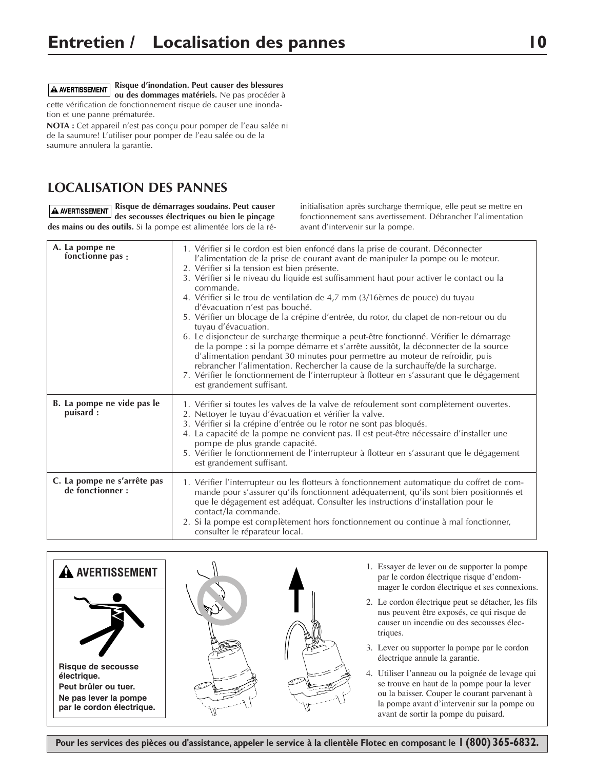**Risque d'inondation. Peut causer des blessures** A AVERTISSEMENT **ou des dommages matériels.** Ne pas procéder à cette vérification de fonctionnement risque de causer une inondation et une panne prématurée.

**NOTA :** Cet appareil n'est pas conçu pour pomper de l'eau salée ni de la saumure! L'utiliser pour pomper de l'eau salée ou de la saumure annulera la garantie.

# **LOCALISATION DES PANNES**

**A AVERTISSEMENT** Risque de démarrages soudains. Peut causer **des secousses électriques ou bien le pinçage des mains ou des outils.** Si la pompe est alimentée lors de la ré-

initialisation après surcharge thermique, elle peut se mettre en fonctionnement sans avertissement. Débrancher l'alimentation avant d'intervenir sur la pompe.

| A. La pompe ne<br>fonctionne pas :              | 1. Vérifier si le cordon est bien enfoncé dans la prise de courant. Déconnecter<br>l'alimentation de la prise de courant avant de manipuler la pompe ou le moteur.<br>2. Vérifier si la tension est bien présente.<br>3. Vérifier si le niveau du liquide est suffisamment haut pour activer le contact ou la<br>commande.<br>4. Vérifier si le trou de ventilation de 4,7 mm (3/16èmes de pouce) du tuyau<br>d'évacuation n'est pas bouché.<br>5. Vérifier un blocage de la crépine d'entrée, du rotor, du clapet de non-retour ou du<br>tuyau d'évacuation.<br>6. Le disjoncteur de surcharge thermique a peut-être fonctionné. Vérifier le démarrage<br>de la pompe : si la pompe démarre et s'arrête aussitôt, la déconnecter de la source<br>d'alimentation pendant 30 minutes pour permettre au moteur de refroidir, puis<br>rebrancher l'alimentation. Rechercher la cause de la surchauffe/de la surcharge.<br>7. Vérifier le fonctionnement de l'interrupteur à flotteur en s'assurant que le dégagement<br>est grandement suffisant. |
|-------------------------------------------------|------------------------------------------------------------------------------------------------------------------------------------------------------------------------------------------------------------------------------------------------------------------------------------------------------------------------------------------------------------------------------------------------------------------------------------------------------------------------------------------------------------------------------------------------------------------------------------------------------------------------------------------------------------------------------------------------------------------------------------------------------------------------------------------------------------------------------------------------------------------------------------------------------------------------------------------------------------------------------------------------------------------------------------------------|
| B. La pompe ne vide pas le<br>puisard:          | 1. Vérifier si toutes les valves de la valve de refoulement sont complètement ouvertes.<br>2. Nettoyer le tuyau d'évacuation et vérifier la valve.<br>3. Vérifier si la crépine d'entrée ou le rotor ne sont pas bloqués.<br>4. La capacité de la pompe ne convient pas. Il est peut-être nécessaire d'installer une<br>pompe de plus grande capacité.<br>5. Vérifier le fonctionnement de l'interrupteur à flotteur en s'assurant que le dégagement<br>est grandement suffisant.                                                                                                                                                                                                                                                                                                                                                                                                                                                                                                                                                              |
| C. La pompe ne s'arrête pas<br>de fonctionner : | 1. Vérifier l'interrupteur ou les flotteurs à fonctionnement automatique du coffret de com-<br>mande pour s'assurer qu'ils fonctionnent adéquatement, qu'ils sont bien positionnés et<br>que le dégagement est adéquat. Consulter les instructions d'installation pour le<br>contact/la commande.<br>2. Si la pompe est complètement hors fonctionnement ou continue à mal fonctionner,<br>consulter le réparateur local.                                                                                                                                                                                                                                                                                                                                                                                                                                                                                                                                                                                                                      |

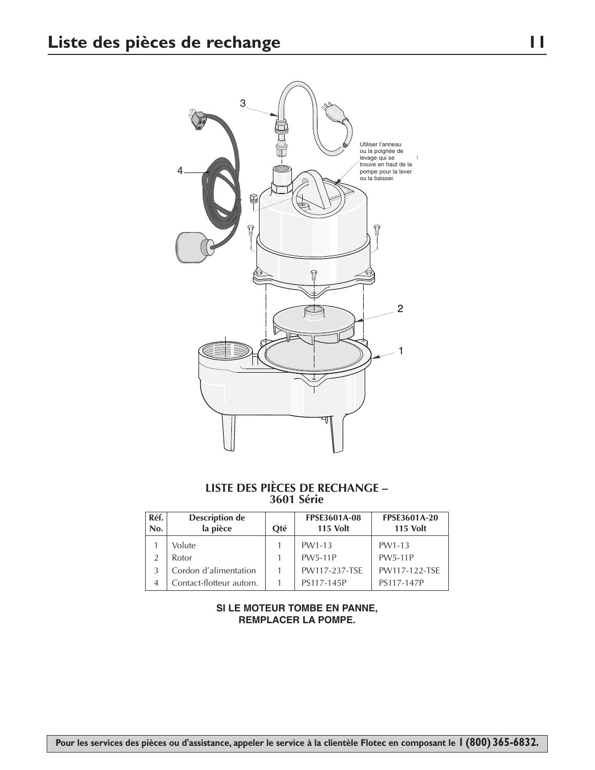

#### **LISTE DES PIÈCES DE RECHANGE – 3601 Série**

| Réf.<br>No. | <b>Description de</b><br>la pièce | Oté | <b>FPSE3601A-08</b><br><b>115 Volt</b> | <b>FPSE3601A-20</b><br><b>115 Volt</b> |
|-------------|-----------------------------------|-----|----------------------------------------|----------------------------------------|
|             | Volute                            |     | PW1-13                                 | PW1-13                                 |
|             | Rotor                             |     | <b>PW5-11P</b>                         | <b>PW5-11P</b>                         |
|             | Cordon d'alimentation             |     | PW117-237-TSE                          | PW117-122-TSE                          |
|             | Contact-flotteur autom.           |     | PS117-145P                             | PS117-147P                             |

#### **SI LE MOTEUR TOMBE EN PANNE, REMPLACER LA POMPE.**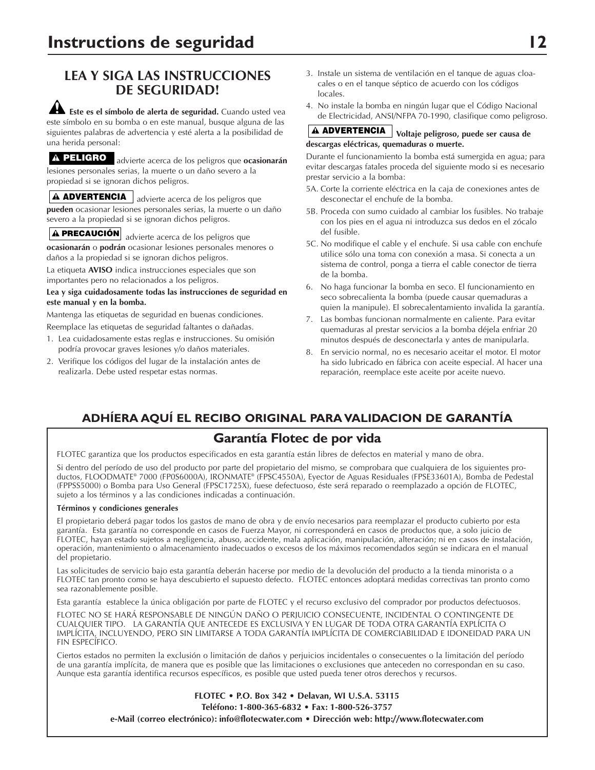# **LEA Y SIGA LAS INSTRUCCIONES DE SEGURIDAD!**

**Este es el símbolo de alerta de seguridad.** Cuando usted vea este símbolo en su bomba o en este manual, busque alguna de las siguientes palabras de advertencia y esté alerta a la posibilidad de una herida personal:

advierte acerca de los peligros que **ocasionarán PELIGRO** lesiones personales serias, la muerte o un daño severo a la propiedad si se ignoran dichos peligros.

**ADVERTENCIA** advierte acerca de los peligros que **pueden** ocasionar lesiones personales serias, la muerte o un daño severo a la propiedad si se ignoran dichos peligros.

**PRECAUCIÓN** advierte acerca de los peligros que **ocasionarán** o **podrán** ocasionar lesiones personales menores o daños a la propiedad si se ignoran dichos peligros.

La etiqueta **AVISO** indica instrucciones especiales que son importantes pero no relacionados a los peligros.

#### **Lea y siga cuidadosamente todas las instrucciones de seguridad en este manual y en la bomba.**

Mantenga las etiquetas de seguridad en buenas condiciones.

Reemplace las etiquetas de seguridad faltantes o dañadas.

- 1. Lea cuidadosamente estas reglas e instrucciones. Su omisión podría provocar graves lesiones y/o daños materiales.
- 2. Verifique los códigos del lugar de la instalación antes de realizarla. Debe usted respetar estas normas.
- 3. Instale un sistema de ventilación en el tanque de aguas cloacales o en el tanque séptico de acuerdo con los códigos locales.
- 4. No instale la bomba en ningún lugar que el Código Nacional de Electricidad, ANSI/NFPA 70-1990, clasifique como peligroso.

#### **Voltaje peligroso, puede ser causa de ADVERTENCIA descargas eléctricas, quemaduras o muerte.**

Durante el funcionamiento la bomba está sumergida en agua; para evitar descargas fatales proceda del siguiente modo si es necesario prestar servicio a la bomba:

- 5A. Corte la corriente eléctrica en la caja de conexiones antes de desconectar el enchufe de la bomba.
- 5B. Proceda con sumo cuidado al cambiar los fusibles. No trabaje con los pies en el agua ni introduzca sus dedos en el zócalo del fusible.
- 5C. No modifique el cable y el enchufe. Si usa cable con enchufe utilice sólo una toma con conexión a masa. Si conecta a un sistema de control, ponga a tierra el cable conector de tierra de la bomba.
- 6. No haga funcionar la bomba en seco. El funcionamiento en seco sobrecalienta la bomba (puede causar quemaduras a quien la manipule). El sobrecalentamiento invalida la garantía.
- 7. Las bombas funcionan normalmente en caliente. Para evitar quemaduras al prestar servicios a la bomba déjela enfriar 20 minutos después de desconectarla y antes de manipularla.
- 8. En servicio normal, no es necesario aceitar el motor. El motor ha sido lubricado en fábrica con aceite especial. Al hacer una reparación, reemplace este aceite por aceite nuevo.

# **ADHÍERA AQUÍ EL RECIBO ORIGINAL PARA VALIDACION DE GARANTÍA**

### **Garantía Flotec de por vida**

FLOTEC garantiza que los productos especificados en esta garantía están libres de defectos en material y mano de obra.

Si dentro del período de uso del producto por parte del propietario del mismo, se comprobara que cualquiera de los siguientes productos, FLOODMATE® 7000 (FP0S6000A), IRONMATE® (FPSC4550A), Eyector de Aguas Residuales (FPSE33601A), Bomba de Pedestal (FPPSS5000) o Bomba para Uso General (FPSC1725X), fuese defectuoso, éste será reparado o reemplazado a opción de FLOTEC, sujeto a los términos y a las condiciones indicadas a continuación.

#### **Términos y condiciones generales**

El propietario deberá pagar todos los gastos de mano de obra y de envío necesarios para reemplazar el producto cubierto por esta garantía. Esta garantía no corresponde en casos de Fuerza Mayor, ni corresponderá en casos de productos que, a solo juicio de FLOTEC, hayan estado sujetos a negligencia, abuso, accidente, mala aplicación, manipulación, alteración; ni en casos de instalación, operación, mantenimiento o almacenamiento inadecuados o excesos de los máximos recomendados según se indicara en el manual del propietario.

Las solicitudes de servicio bajo esta garantía deberán hacerse por medio de la devolución del producto a la tienda minorista o a FLOTEC tan pronto como se haya descubierto el supuesto defecto. FLOTEC entonces adoptará medidas correctivas tan pronto como sea razonablemente posible.

Esta garantía establece la única obligación por parte de FLOTEC y el recurso exclusivo del comprador por productos defectuosos.

FLOTEC NO SE HARÁ RESPONSABLE DE NINGÚN DAÑO O PERJUICIO CONSECUENTE, INCIDENTAL O CONTINGENTE DE CUALQUIER TIPO. LA GARANTÍA QUE ANTECEDE ES EXCLUSIVA Y EN LUGAR DE TODA OTRA GARANTÍA EXPLÍCITA O IMPLÍCITA, INCLUYENDO, PERO SIN LIMITARSE A TODA GARANTÍA IMPLÍCITA DE COMERCIABILIDAD E IDONEIDAD PARA UN FIN ESPECÍFICO.

Ciertos estados no permiten la exclusión o limitación de daños y perjuicios incidentales o consecuentes o la limitación del período de una garantía implícita, de manera que es posible que las limitaciones o exclusiones que anteceden no correspondan en su caso. Aunque esta garantía identifica recursos específicos, es posible que usted pueda tener otros derechos y recursos.

> **FLOTEC • P.O. Box 342 • Delavan, WI U.S.A. 53115 Teléfono: 1-800-365-6832 • Fax: 1-800-526-3757 e-Mail (correo electrónico): info@flotecwater.com • Dirección web: http://www.flotecwater.com**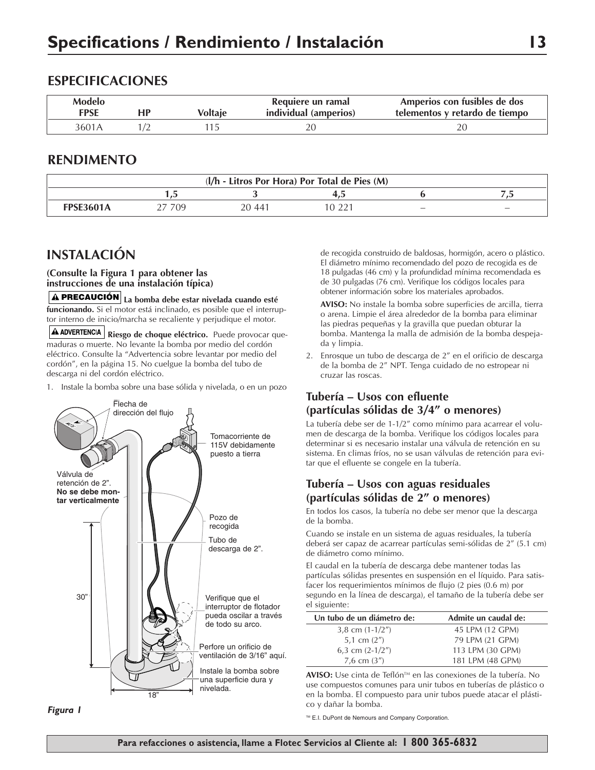### **ESPECIFICACIONES**

| <b>Modelo</b><br><b>FPSE</b> | НF | Voltaie | Requiere un ramal<br>individual (amperios) | Amperios con fusibles de dos<br>telementos y retardo de tiempo |
|------------------------------|----|---------|--------------------------------------------|----------------------------------------------------------------|
| 3601A                        |    |         |                                            |                                                                |

#### **RENDIMENTO**

| (I/h - Litros Por Hora) Por Total de Pies (M) |                |        |   |                          |                          |  |
|-----------------------------------------------|----------------|--------|---|--------------------------|--------------------------|--|
|                                               | $\overline{a}$ |        | . |                          |                          |  |
| <b>FPSE3601A</b>                              | 709            | 20 441 |   | $\overline{\phantom{a}}$ | $\overline{\phantom{0}}$ |  |

# **INSTALACIÓN**

#### **(Consulte la Figura 1 para obtener las instrucciones de una instalación típica)**

**La bomba debe estar nivelada cuando esté PRECAUCIÓN funcionando.** Si el motor está inclinado, es posible que el interruptor interno de inicio/marcha se recaliente y perjudique el motor.

**A ADVERTENCIA** Riesgo de choque eléctrico. Puede provocar quemaduras o muerte. No levante la bomba por medio del cordón eléctrico. Consulte la "Advertencia sobre levantar por medio del cordón", en la página 15. No cuelgue la bomba del tubo de descarga ni del cordón eléctrico.

1. Instale la bomba sobre una base sólida y nivelada, o en un pozo



*Figura 1*

de recogida construido de baldosas, hormigón, acero o plástico. El diámetro mínimo recomendado del pozo de recogida es de 18 pulgadas (46 cm) y la profundidad mínima recomendada es de 30 pulgadas (76 cm). Verifique los códigos locales para obtener información sobre los materiales aprobados.

**AVISO:** No instale la bomba sobre superficies de arcilla, tierra o arena. Limpie el área alrededor de la bomba para eliminar las piedras pequeñas y la gravilla que puedan obturar la bomba. Mantenga la malla de admisión de la bomba despejada y limpia.

2. Enrosque un tubo de descarga de 2" en el orificio de descarga de la bomba de 2" NPT. Tenga cuidado de no estropear ni cruzar las roscas.

#### **Tubería – Usos con efluente (partículas sólidas de 3/4" o menores)**

La tubería debe ser de 1-1/2" como mínimo para acarrear el volumen de descarga de la bomba. Verifique los códigos locales para determinar si es necesario instalar una válvula de retención en su sistema. En climas fríos, no se usan válvulas de retención para evitar que el efluente se congele en la tubería.

#### **Tubería – Usos con aguas residuales (partículas sólidas de 2" o menores)**

En todos los casos, la tubería no debe ser menor que la descarga de la bomba.

Cuando se instale en un sistema de aguas residuales, la tubería deberá ser capaz de acarrear partículas semi-sólidas de 2" (5.1 cm) de diámetro como mínimo.

El caudal en la tubería de descarga debe mantener todas las partículas sólidas presentes en suspensión en el líquido. Para satisfacer los requerimientos mínimos de flujo (2 pies (0.6 m) por segundo en la línea de descarga), el tamaño de la tubería debe ser el siguiente:

| Un tubo de un diámetro de: | Admite un caudal de: |  |
|----------------------------|----------------------|--|
| 3,8 cm $(1-1/2'')$         | 45 LPM (12 GPM)      |  |
| 5,1 cm $(2'')$             | 79 LPM (21 GPM)      |  |
| 6,3 cm $(2-1/2'')$         | 113 LPM (30 GPM)     |  |
| 7,6 cm $(3'')$             | 181 LPM (48 GPM)     |  |

**AVISO:** Use cinta de Teflón™ en las conexiones de la tubería. No use compuestos comunes para unir tubos en tuberías de plástico o en la bomba. El compuesto para unir tubos puede atacar el plástico y dañar la bomba.

™ E.I. DuPont de Nemours and Company Corporation.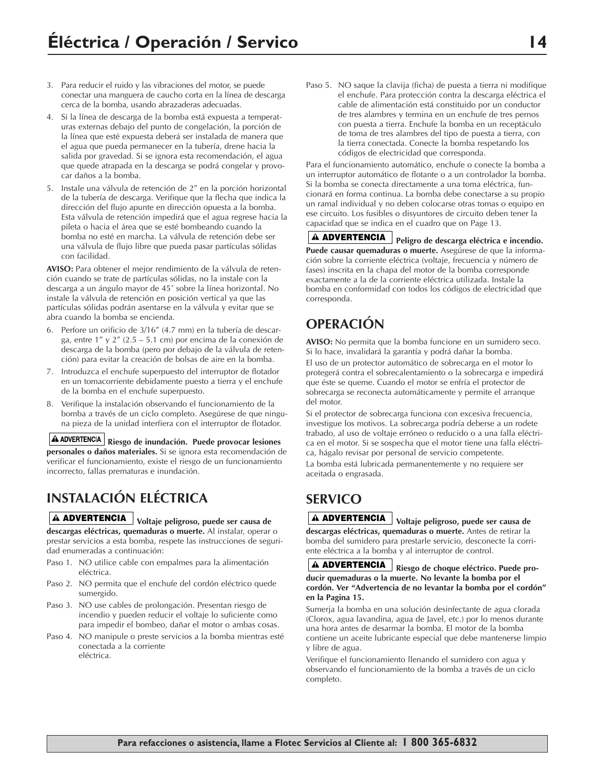- 3. Para reducir el ruido y las vibraciones del motor, se puede conectar una manguera de caucho corta en la línea de descarga cerca de la bomba, usando abrazaderas adecuadas.
- 4. Si la línea de descarga de la bomba está expuesta a temperaturas externas debajo del punto de congelación, la porción de la línea que esté expuesta deberá ser instalada de manera que el agua que pueda permanecer en la tubería, drene hacia la salida por gravedad. Si se ignora esta recomendación, el agua que quede atrapada en la descarga se podrá congelar y provocar daños a la bomba.
- 5. Instale una válvula de retención de 2" en la porción horizontal de la tubería de descarga. Verifique que la flecha que indica la dirección del flujo apunte en dirección opuesta a la bomba. Esta válvula de retención impedirá que el agua regrese hacia la pileta o hacia el área que se esté bombeando cuando la bomba no esté en marcha. La válvula de retención debe ser una válvula de flujo libre que pueda pasar partículas sólidas con facilidad.

**AVISO:** Para obtener el mejor rendimiento de la válvula de retención cuando se trate de partículas sólidas, no la instale con la descarga a un ángulo mayor de 45˚ sobre la línea horizontal. No instale la válvula de retención en posición vertical ya que las partículas sólidas podrán asentarse en la válvula y evitar que se abra cuando la bomba se encienda.

- 6. Perfore un orificio de 3/16" (4.7 mm) en la tubería de descarga, entre 1" y 2" (2.5 – 5.1 cm) por encima de la conexión de descarga de la bomba (pero por debajo de la válvula de retención) para evitar la creación de bolsas de aire en la bomba.
- 7. Introduzca el enchufe superpuesto del interruptor de flotador en un tomacorriente debidamente puesto a tierra y el enchufe de la bomba en el enchufe superpuesto.
- 8. Verifique la instalación observando el funcionamiento de la bomba a través de un ciclo completo. Asegúrese de que ninguna pieza de la unidad interfiera con el interruptor de flotador.

**Riesgo de inundación. Puede provocar lesiones personales o daños materiales.** Si se ignora esta recomendación de verificar el funcionamiento, existe el riesgo de un funcionamiento incorrecto, fallas prematuras e inundación.

# **INSTALACIÓN ELÉCTRICA**

### **Voltaje peligroso, puede ser causa de ADVERTENCIA**

**descargas eléctricas, quemaduras o muerte.** Al instalar, operar o prestar servicios a esta bomba, respete las instrucciones de seguridad enumeradas a continuación:

- Paso 1. NO utilice cable con empalmes para la alimentación eléctrica.
- Paso 2. NO permita que el enchufe del cordón eléctrico quede sumergido.
- Paso 3. NO use cables de prolongación. Presentan riesgo de incendio y pueden reducir el voltaje lo suficiente como para impedir el bombeo, dañar el motor o ambas cosas.
- Paso 4. NO manipule o preste servicios a la bomba mientras esté conectada a la corriente eléctrica.

Paso 5. NO saque la clavija (ficha) de puesta a tierra ni modifique el enchufe. Para protección contra la descarga eléctrica el cable de alimentación está constituido por un conductor de tres alambres y termina en un enchufe de tres pernos con puesta a tierra. Enchufe la bomba en un receptáculo de toma de tres alambres del tipo de puesta a tierra, con la tierra conectada. Conecte la bomba respetando los códigos de electricidad que corresponda.

Para el funcionamiento automático, enchufe o conecte la bomba a un interruptor automático de flotante o a un controlador la bomba. Si la bomba se conecta directamente a una toma eléctrica, funcionará en forma continua. La bomba debe conectarse a su propio un ramal individual y no deben colocarse otras tomas o equipo en ese circuito. Los fusibles o disyuntores de circuito deben tener la capacidad que se indica en el cuadro que on Page 13.

**ADVERTENCIA** Peligro de descarga eléctrica e incendio. **Puede causar quemaduras o muerte.** Asegúrese de que la información sobre la corriente eléctrica (voltaje, frecuencia y número de fases) inscrita en la chapa del motor de la bomba corresponde exactamente a la de la corriente eléctrica utilizada. Instale la bomba en conformidad con todos los códigos de electricidad que corresponda.

# **OPERACIÓN**

**AVISO:** No permita que la bomba funcione en un sumidero seco. Si lo hace, invalidará la garantía y podrá dañar la bomba.

El uso de un protector automático de sobrecarga en el motor lo protegerá contra el sobrecalentamiento o la sobrecarga e impedirá que éste se queme. Cuando el motor se enfría el protector de sobrecarga se reconecta automáticamente y permite el arranque del motor.

Si el protector de sobrecarga funciona con excesiva frecuencia, investigue los motivos. La sobrecarga podría deberse a un rodete trabado, al uso de voltaje erróneo o reducido o a una falla eléctrica en el motor. Si se sospecha que el motor tiene una falla eléctrica, hágalo revisar por personal de servicio competente.

La bomba está lubricada permanentemente y no requiere ser aceitada o engrasada.

# **SERVICO**

**Voltaje peligroso, puede ser causa de ADVERTENCIA descargas eléctricas, quemaduras o muerte.** Antes de retirar la bomba del sumidero para prestarle servicio, desconecte la corriente eléctrica a la bomba y al interruptor de control.

**Riesgo de choque eléctrico. Puede pro-ADVERTENCIA ducir quemaduras o la muerte. No levante la bomba por el cordón. Ver "Advertencia de no levantar la bomba por el cordón" en la Pagina 15.**

Sumerja la bomba en una solución desinfectante de agua clorada (Clorox, agua lavandina, agua de Javel, etc.) por lo menos durante una hora antes de desarmar la bomba. El motor de la bomba contiene un aceite lubricante especial que debe mantenerse limpio y libre de agua.

Verifique el funcionamiento llenando el sumidero con agua y observando el funcionamiento de la bomba a través de un ciclo completo.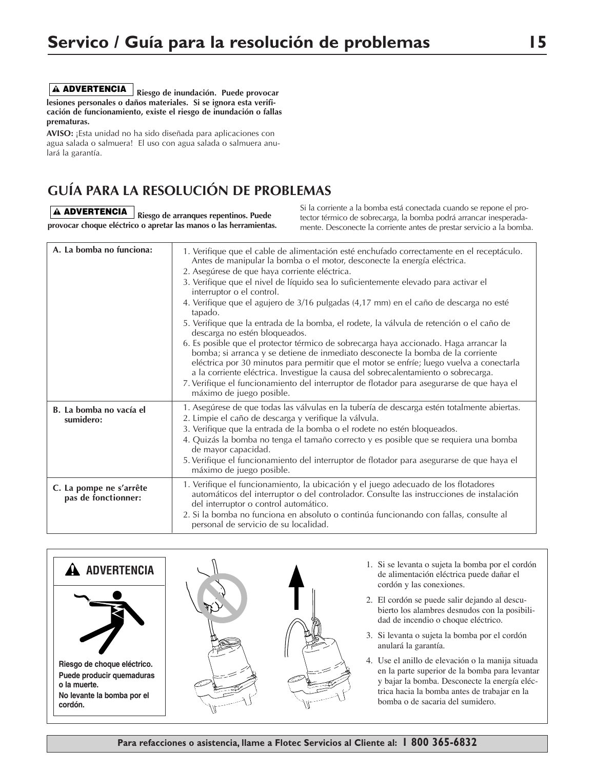**Riesgo de inundación. Puede provocar ADVERTENCIA lesiones personales o daños materiales. Si se ignora esta verificación de funcionamiento, existe el riesgo de inundación o fallas prematuras.**

**AVISO:** ¡Esta unidad no ha sido diseñada para aplicaciones con agua salada o salmuera! El uso con agua salada o salmuera anulará la garantía.

# **GUÍA PARA LA RESOLUCIÓN DE PROBLEMAS**

**Riesgo de arranques repentinos. Puede ADVERTENCIA provocar choque eléctrico o apretar las manos o las herramientas.** Si la corriente a la bomba está conectada cuando se repone el protector térmico de sobrecarga, la bomba podrá arrancar inesperadamente. Desconecte la corriente antes de prestar servicio a la bomba.

| A. La bomba no funciona:                       | 1. Verifique que el cable de alimentación esté enchufado correctamente en el receptáculo.<br>Antes de manipular la bomba o el motor, desconecte la energía eléctrica.<br>2. Asegúrese de que haya corriente eléctrica.<br>3. Verifique que el nivel de líquido sea lo suficientemente elevado para activar el<br>interruptor o el control.<br>4. Verifique que el agujero de 3/16 pulgadas (4,17 mm) en el caño de descarga no esté<br>tapado.<br>5. Verifique que la entrada de la bomba, el rodete, la válvula de retención o el caño de<br>descarga no estén bloqueados.<br>6. Es posible que el protector térmico de sobrecarga haya accionado. Haga arrancar la<br>bomba; si arranca y se detiene de inmediato desconecte la bomba de la corriente<br>eléctrica por 30 minutos para permitir que el motor se enfríe; luego vuelva a conectarla<br>a la corriente eléctrica. Investigue la causa del sobrecalentamiento o sobrecarga.<br>7. Verifique el funcionamiento del interruptor de flotador para asegurarse de que haya el<br>máximo de juego posible. |
|------------------------------------------------|--------------------------------------------------------------------------------------------------------------------------------------------------------------------------------------------------------------------------------------------------------------------------------------------------------------------------------------------------------------------------------------------------------------------------------------------------------------------------------------------------------------------------------------------------------------------------------------------------------------------------------------------------------------------------------------------------------------------------------------------------------------------------------------------------------------------------------------------------------------------------------------------------------------------------------------------------------------------------------------------------------------------------------------------------------------------|
| B. La bomba no vacía el<br>sumidero:           | 1. Asegúrese de que todas las válvulas en la tubería de descarga estén totalmente abiertas.<br>2. Limpie el caño de descarga y verifique la válvula.<br>3. Verifique que la entrada de la bomba o el rodete no estén bloqueados.<br>4. Quizás la bomba no tenga el tamaño correcto y es posible que se requiera una bomba<br>de mayor capacidad.<br>5. Verifique el funcionamiento del interruptor de flotador para asegurarse de que haya el<br>máximo de juego posible.                                                                                                                                                                                                                                                                                                                                                                                                                                                                                                                                                                                          |
| C. La pompe ne s'arrête<br>pas de fonctionner: | 1. Verifique el funcionamiento, la ubicación y el juego adecuado de los flotadores<br>automáticos del interruptor o del controlador. Consulte las instrucciones de instalación<br>del interruptor o control automático.<br>2. Si la bomba no funciona en absoluto o continúa funcionando con fallas, consulte al<br>personal de servicio de su localidad.                                                                                                                                                                                                                                                                                                                                                                                                                                                                                                                                                                                                                                                                                                          |





- 1. Si se levanta o sujeta la bomba por el cordón de alimentación eléctrica puede dañar el cordón y las conexiones.
- 2. El cordón se puede salir dejando al descubierto los alambres desnudos con la posibilidad de incendio o choque eléctrico.
- 3. Si levanta o sujeta la bomba por el cordón anulará la garantía.
- 4. Use el anillo de elevación o la manija situada en la parte superior de la bomba para levantar y bajar la bomba. Desconecte la energía eléctrica hacia la bomba antes de trabajar en la bomba o de sacaria del sumidero.